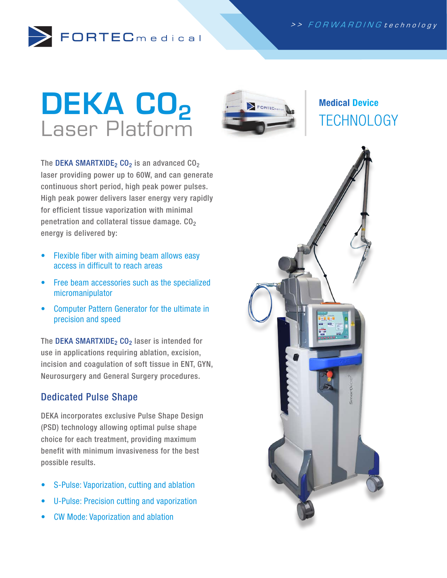

## DEKA CO<sub>2</sub> BFORTECHNOLOGY Laser Platform



# Medical Device

The DEKA SMARTXIDE<sub>2</sub> CO<sub>2</sub> is an advanced CO<sub>2</sub> laser providing power up to 60W, and can generate continuous short period, high peak power pulses. High peak power delivers laser energy very rapidly for efficient tissue vaporization with minimal penetration and collateral tissue damage.  $CO<sub>2</sub>$ energy is delivered by:

- Flexible fiber with aiming beam allows easy access in difficult to reach areas
- Free beam accessories such as the specialized micromanipulator
- Computer Pattern Generator for the ultimate in precision and speed

The DEKA SMARTXIDE<sub>2</sub>  $CO<sub>2</sub>$  laser is intended for use in applications requiring ablation, excision, incision and coagulation of soft tissue in ENT, GYN, Neurosurgery and General Surgery procedures.

### Dedicated Pulse Shape

DEKA incorporates exclusive Pulse Shape Design (PSD) technology allowing optimal pulse shape choice for each treatment, providing maximum benefit with minimum invasiveness for the best possible results.

- S-Pulse: Vaporization, cutting and ablation
- U-Pulse: Precision cutting and vaporization
- CW Mode: Vaporization and ablation

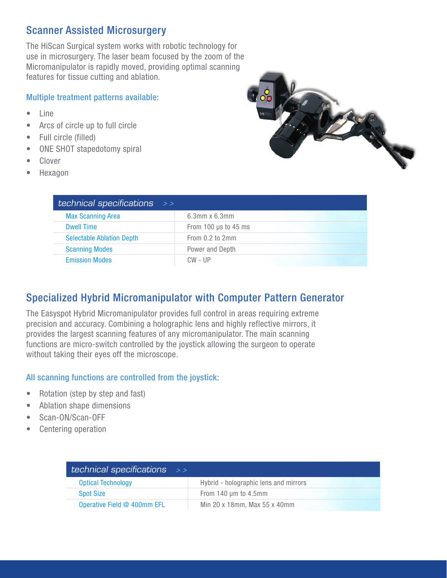## Scanner Assisted Microsurgery

The HiScan Surgical system works with robotic technology for use in microsurgery. The laser beam focused by the zoom of the Micromanipulator is rapidly moved, providing optimal scanning features for tissue cutting and ablation.

#### Multiple treatment patterns available:

- $\bullet$  line
- Arcs of circle up to full circle
- Full circle (filled)
- ONE SHOT stapedotomy spiral
- Clover
- Hexagon



| technical specifications $\rightarrow$ |                                |  |
|----------------------------------------|--------------------------------|--|
| <b>Max Scanning Area</b>               | $6.3$ mm x $6.3$ mm            |  |
| <b>Dwell Time</b>                      | From $100 \mu s$ to $45 \mu s$ |  |
| <b>Selectable Ablation Depth</b>       | From 0.2 to 2mm                |  |
| <b>Scanning Modes</b>                  | Power and Depth                |  |
| <b>Emission Modes</b>                  | $CW - UP$                      |  |

## Specialized Hybrid Micromanipulator with Computer Pattern Generator

The Easyspot Hybrid Micromanipulator provides full control in areas requiring extreme precision and accuracy. Combining a holographic lens and highly reflective mirrors, it provides the largest scanning features of any micromanipulator. The main scanning functions are micro-switch controlled by the joystick allowing the surgeon to operate without taking their eyes off the microscope.

### All scanning functions are controlled from the joystick:

- Rotation (step by step and fast)
- Ablation shape dimensions
- Scan-ON/Scan-OFF
- Centering operation

| $technical specifications >$ |                                       |
|------------------------------|---------------------------------------|
| <b>Optical Technology</b>    | Hybrid - holographic lens and mirrors |
| <b>Spot Size</b>             | From $140 \mu m$ to $4.5 \text{mm}$   |
| Operative Field @ 400mm EFL  | Min 20 x 18mm, Max 55 x 40mm          |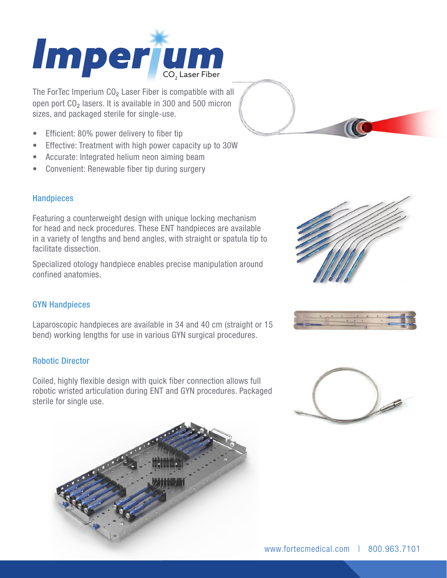

The ForTec Imperium  $CO<sub>2</sub>$  Laser Fiber is compatible with all open port CO<sub>2</sub> lasers. It is available in 300 and 500 micron sizes, and packaged sterile for single-use.

- Efficient: 80% power delivery to fiber tip
- Effective: Treatment with high power capacity up to 30W
- Accurate: Integrated helium neon aiming beam
- Convenient: Renewable fiber tip during surgery



Featuring a counterweight design with unique locking mechanism for head and neck procedures. These ENT handpieces are available in a variety of lengths and bend angles, with straight or spatula tip to facilitate dissection.

Specialized otology handpiece enables precise manipulation around confined anatomies.

### GYN Handpieces

Laparoscopic handpieces are available in 34 and 40 cm (straight or 15 bend) working lengths for use in various GYN surgical procedures.

### Robotic Director

Coiled, highly flexible design with quick fiber connection allows full robotic wristed articulation during ENT and GYN procedures. Packaged sterile for single use.